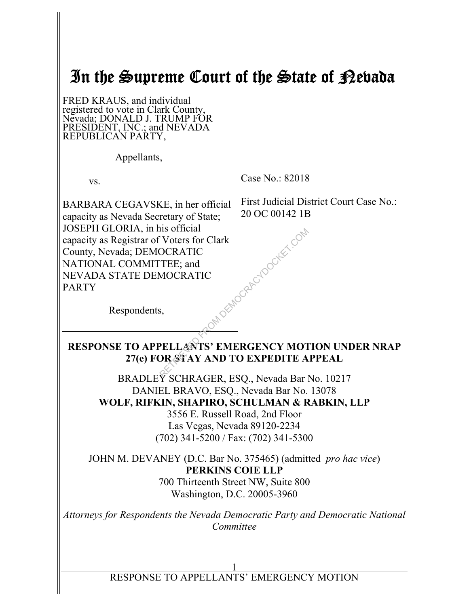| In the Supreme Court of the State of Rebada                                                                                                                                                                                                                           |                                                                        |  |  |  |
|-----------------------------------------------------------------------------------------------------------------------------------------------------------------------------------------------------------------------------------------------------------------------|------------------------------------------------------------------------|--|--|--|
| FRED KRAUS, and individual<br>registered to vote in Clark County,<br>D I TRUMP FŐR<br>Nevada: DONAL<br>PRESIDENT, INC.; and NEVADA<br>REPUBLICAN PARTY,                                                                                                               |                                                                        |  |  |  |
| Appellants,                                                                                                                                                                                                                                                           |                                                                        |  |  |  |
| VS.                                                                                                                                                                                                                                                                   | Case No.: 82018                                                        |  |  |  |
| BARBARA CEGAVSKE, in her official<br>capacity as Nevada Secretary of State;<br>JOSEPH GLORIA, in his official<br>capacity as Registrar of Voters for Clark<br>County, Nevada; DEMOCRATIC<br>NATIONAL COMMITTEE; and<br><b>NEVADA STATE DEMOCRATIC</b><br><b>PARTY</b> | First Judicial District Court Case No.:<br>20 OC 00142 1B<br>Ocker Com |  |  |  |
| Respondents,<br><b>RESPONSE TO APPELLANTS' EMERGENCY MOTION UNDER NRAP</b><br>27(e) FOR STAY AND TO EXPEDITE APPEAL                                                                                                                                                   |                                                                        |  |  |  |
| BRADLEY SCHRAGER, ESQ., Nevada Bar No. 10217<br>DANIEL BRAVO, ESQ., Nevada Bar No. 13078<br>WOLF, RIFKIN, SHAPIRO, SCHULMAN & RABKIN, LLP<br>3556 E. Russell Road, 2nd Floor<br>Las Vegas, Nevada 89120-2234<br>$(702)$ 341-5200 / Fax: $(702)$ 341-5300              |                                                                        |  |  |  |
| JOHN M. DEVANEY (D.C. Bar No. 375465) (admitted pro hac vice)<br>PERKINS COIE LLP<br>700 Thirteenth Street NW, Suite 800<br>Washington, D.C. 20005-3960                                                                                                               |                                                                        |  |  |  |
| Attorneys for Respondents the Nevada Democratic Party and Democratic National<br>Committee                                                                                                                                                                            |                                                                        |  |  |  |

1 RESPONSE TO APPELLANTS' EMERGENCY MOTION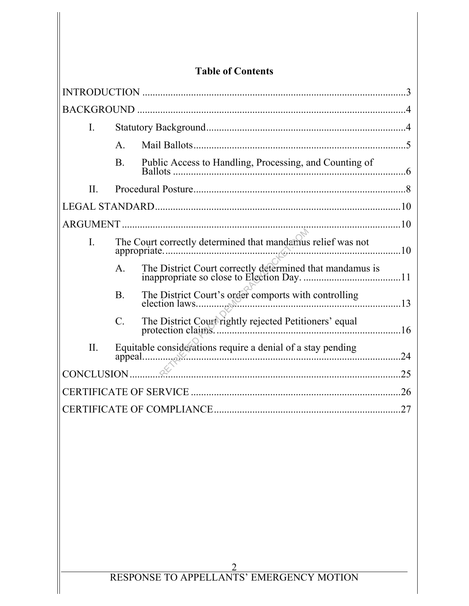|                  |                 | <b>Table of Contents</b>                                    |     |
|------------------|-----------------|-------------------------------------------------------------|-----|
|                  |                 |                                                             |     |
|                  |                 |                                                             |     |
| $\mathbf{I}$ .   |                 |                                                             |     |
|                  | $A_{\cdot}$     |                                                             |     |
|                  | <b>B</b> .      | Public Access to Handling, Processing, and Counting of      |     |
| П.               |                 |                                                             |     |
|                  |                 |                                                             |     |
|                  |                 |                                                             |     |
| $\overline{I}$ . |                 | The Court correctly determined that mandamus relief was not |     |
|                  | $\mathbf{A}$ .  |                                                             |     |
|                  | <b>B</b> .      | The District Court's order comports with controlling        |     |
|                  | $\mathcal{C}$ . | The District Court rightly rejected Petitioners' equal      |     |
| II.              |                 | Equitable considerations require a denial of a stay pending | 24  |
| CONCLUSION       |                 |                                                             | 25  |
|                  |                 |                                                             | .26 |
|                  |                 |                                                             | 27  |
|                  |                 |                                                             |     |
|                  |                 |                                                             |     |

 $\mathop{\textstyle\prod}$ 

 $\parallel$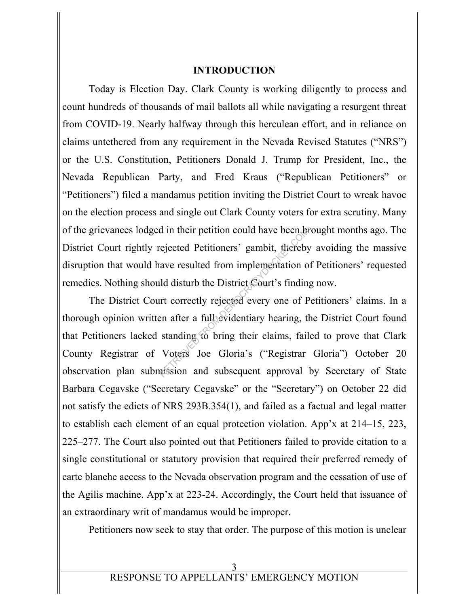#### **INTRODUCTION**

Today is Election Day. Clark County is working diligently to process and count hundreds of thousands of mail ballots all while navigating a resurgent threat from COVID-19. Nearly halfway through this herculean effort, and in reliance on claims untethered from any requirement in the Nevada Revised Statutes ("NRS") or the U.S. Constitution, Petitioners Donald J. Trump for President, Inc., the Nevada Republican Party, and Fred Kraus ("Republican Petitioners" or "Petitioners") filed a mandamus petition inviting the District Court to wreak havoc on the election process and single out Clark County voters for extra scrutiny. Many of the grievances lodged in their petition could have been brought months ago. The District Court rightly rejected Petitioners' gambit, thereby avoiding the massive disruption that would have resulted from implementation of Petitioners' requested remedies. Nothing should disturb the District Court's finding now.

The District Court correctly rejected every one of Petitioners' claims. In a thorough opinion written after a full evidentiary hearing, the District Court found that Petitioners lacked standing to bring their claims, failed to prove that Clark County Registrar of Voters Joe Gloria's ("Registrar Gloria") October 20 observation plan submission and subsequent approval by Secretary of State Barbara Cegavske ("Secretary Cegavske" or the "Secretary") on October 22 did not satisfy the edicts of NRS 293B.354(1), and failed as a factual and legal matter to establish each element of an equal protection violation. App'x at 214–15, 223, 225–277. The Court also pointed out that Petitioners failed to provide citation to a single constitutional or statutory provision that required their preferred remedy of carte blanche access to the Nevada observation program and the cessation of use of the Agilis machine. App'x at 223-24. Accordingly, the Court held that issuance of an extraordinary writ of mandamus would be improper. d in their petition could have been be-<br>rejected Petitioners' gambit, thereby<br>ave resulted from implementation of<br>ld disturb the District Court's findin<br>art correctly rejected every one of P<br>en after a full evidentiary hea

Petitioners now seek to stay that order. The purpose of this motion is unclear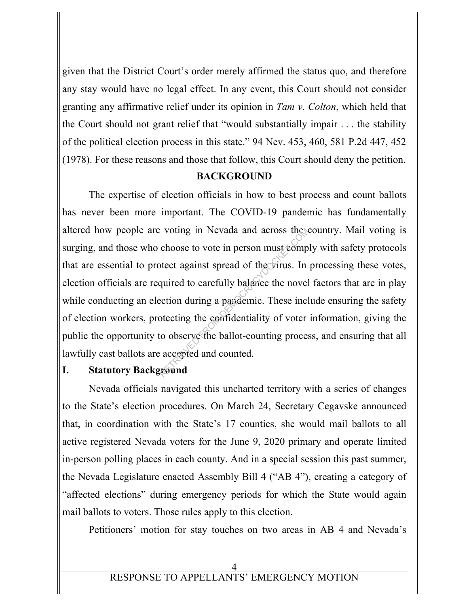given that the District Court's order merely affirmed the status quo, and therefore any stay would have no legal effect. In any event, this Court should not consider granting any affirmative relief under its opinion in *Tam v. Colton*, which held that the Court should not grant relief that "would substantially impair . . . the stability of the political election process in this state." 94 Nev. 453, 460, 581 P.2d 447, 452 (1978). For these reasons and those that follow, this Court should deny the petition.

## **BACKGROUND**

 The expertise of election officials in how to best process and count ballots has never been more important. The COVID-19 pandemic has fundamentally altered how people are voting in Nevada and across the country. Mail voting is surging, and those who choose to vote in person must comply with safety protocols that are essential to protect against spread of the virus. In processing these votes, election officials are required to carefully balance the novel factors that are in play while conducting an election during a pandemic. These include ensuring the safety of election workers, protecting the confidentiality of voter information, giving the public the opportunity to observe the ballot-counting process, and ensuring that all lawfully cast ballots are accepted and counted. Revolution and across these choose to vote in person must comp<br>btect against spread of the virus. In<br>quired to carefully balance the novel<br>ection during a pandemic. These incl<br>otecting the confidentiality of voter<br>to obser

## **I. Statutory Background**

 Nevada officials navigated this uncharted territory with a series of changes to the State's election procedures. On March 24, Secretary Cegavske announced that, in coordination with the State's 17 counties, she would mail ballots to all active registered Nevada voters for the June 9, 2020 primary and operate limited in-person polling places in each county. And in a special session this past summer, the Nevada Legislature enacted Assembly Bill 4 ("AB 4"), creating a category of "affected elections" during emergency periods for which the State would again mail ballots to voters. Those rules apply to this election.

Petitioners' motion for stay touches on two areas in AB 4 and Nevada's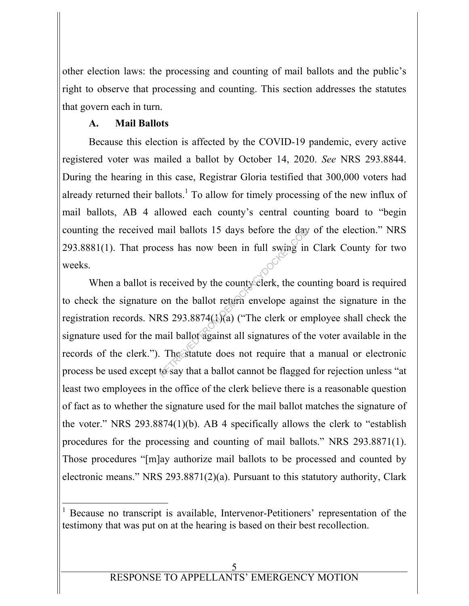other election laws: the processing and counting of mail ballots and the public's right to observe that processing and counting. This section addresses the statutes that govern each in turn.

# **A. Mail Ballots**

 Because this election is affected by the COVID-19 pandemic, every active registered voter was mailed a ballot by October 14, 2020. *See* NRS 293.8844. During the hearing in this case, Registrar Gloria testified that 300,000 voters had already returned their ballots.<sup>1</sup> To allow for timely processing of the new influx of mail ballots, AB 4 allowed each county's central counting board to "begin counting the received mail ballots 15 days before the day of the election." NRS 293.8881(1). That process has now been in full swing in Clark County for two weeks.

When a ballot is received by the county clerk, the counting board is required to check the signature on the ballot return envelope against the signature in the registration records. NRS 293.8874(1)(a) ("The clerk or employee shall check the signature used for the mail ballot against all signatures of the voter available in the records of the clerk."). The statute does not require that a manual or electronic process be used except to say that a ballot cannot be flagged for rejection unless "at least two employees in the office of the clerk believe there is a reasonable question of fact as to whether the signature used for the mail ballot matches the signature of the voter." NRS 293.8874(1)(b). AB 4 specifically allows the clerk to "establish procedures for the processing and counting of mail ballots." NRS 293.8871(1). Those procedures "[m]ay authorize mail ballots to be processed and counted by electronic means." NRS 293.8871(2)(a). Pursuant to this statutory authority, Clark mail ballots 15 days before the day<br>received by the county elerk, the compress has now been in full swing in<br>received by the county elerk, the compression of the ballot return envelope again<br>RS 293.8874(1)(a) ("The clerk o

<sup>-</sup>1 Because no transcript is available, Intervenor-Petitioners' representation of the testimony that was put on at the hearing is based on their best recollection.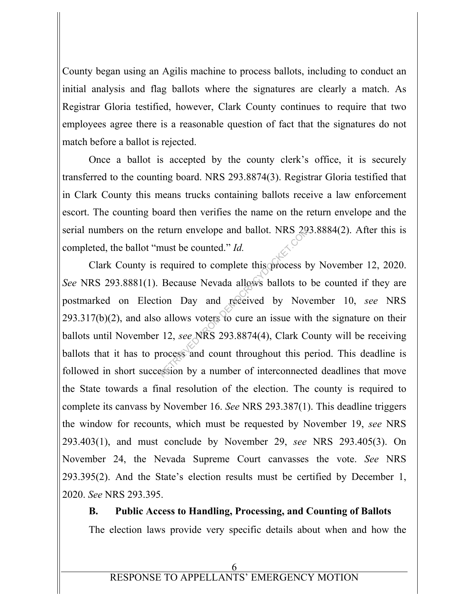County began using an Agilis machine to process ballots, including to conduct an initial analysis and flag ballots where the signatures are clearly a match. As Registrar Gloria testified, however, Clark County continues to require that two employees agree there is a reasonable question of fact that the signatures do not match before a ballot is rejected.

 Once a ballot is accepted by the county clerk's office, it is securely transferred to the counting board. NRS 293.8874(3). Registrar Gloria testified that in Clark County this means trucks containing ballots receive a law enforcement escort. The counting board then verifies the name on the return envelope and the serial numbers on the return envelope and ballot. NRS 293.8884(2). After this is completed, the ballot "must be counted." *Id.*

 Clark County is required to complete this process by November 12, 2020. *See* NRS 293.8881(1). Because Nevada allows ballots to be counted if they are postmarked on Election Day and received by November 10, *see* NRS  $293.317(b)(2)$ , and also allows voters to cure an issue with the signature on their ballots until November 12, *see* NRS 293.8874(4), Clark County will be receiving ballots that it has to process and count throughout this period. This deadline is followed in short succession by a number of interconnected deadlines that move the State towards a final resolution of the election. The county is required to complete its canvass by November 16. *See* NRS 293.387(1). This deadline triggers the window for recounts, which must be requested by November 19, *see* NRS 293.403(1), and must conclude by November 29, *see* NRS 293.405(3). On November 24, the Nevada Supreme Court canvasses the vote. *See* NRS 293.395(2). And the State's election results must be certified by December 1, 2020. *See* NRS 293.395. return envelope and ballot. NRS 29<br>must be counted." *Id.*<br>required to complete this process b<br>Because Nevada allows ballots to<br>ion Day and received by Nov<br>o allows voters to cure an issue with<br>12, see NRS 293.8874(4), Cla

**B. Public Access to Handling, Processing, and Counting of Ballots**  The election laws provide very specific details about when and how the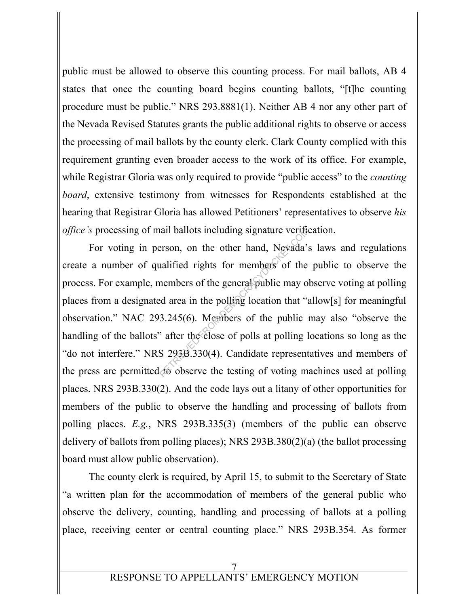public must be allowed to observe this counting process. For mail ballots, AB 4 states that once the counting board begins counting ballots, "[t]he counting procedure must be public." NRS 293.8881(1). Neither AB 4 nor any other part of the Nevada Revised Statutes grants the public additional rights to observe or access the processing of mail ballots by the county clerk. Clark County complied with this requirement granting even broader access to the work of its office. For example, while Registrar Gloria was only required to provide "public access" to the *counting board*, extensive testimony from witnesses for Respondents established at the hearing that Registrar Gloria has allowed Petitioners' representatives to observe *his office's* processing of mail ballots including signature verification.

 For voting in person, on the other hand, Nevada's laws and regulations create a number of qualified rights for members of the public to observe the process. For example, members of the general public may observe voting at polling places from a designated area in the polling location that "allow[s] for meaningful observation." NAC 293.245(6). Members of the public may also "observe the handling of the ballots" after the close of polls at polling locations so long as the "do not interfere." NRS 293B.330(4). Candidate representatives and members of the press are permitted to observe the testing of voting machines used at polling places. NRS 293B.330(2). And the code lays out a litany of other opportunities for members of the public to observe the handling and processing of ballots from polling places. *E.g.*, NRS 293B.335(3) (members of the public can observe delivery of ballots from polling places); NRS 293B.380(2)(a) (the ballot processing board must allow public observation). nall ballots including signature verifications.<br>
Example 1978 of the demonstration of the nembers of the general public may of<br>
delet area in the polling location that "a<br>
3.245(6). Members of the public is a 3.245(6). Mem

 The county clerk is required, by April 15, to submit to the Secretary of State "a written plan for the accommodation of members of the general public who observe the delivery, counting, handling and processing of ballots at a polling place, receiving center or central counting place." NRS 293B.354. As former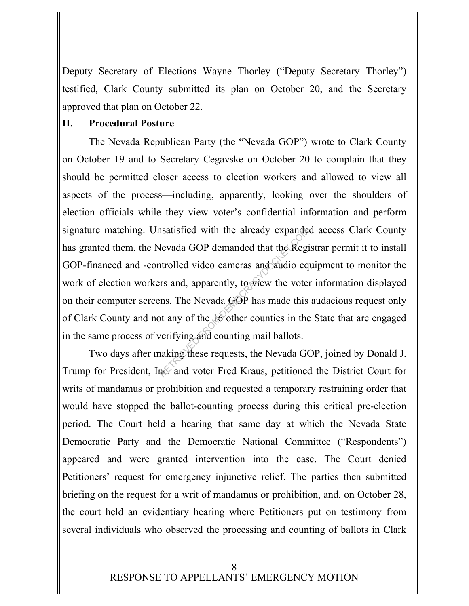Deputy Secretary of Elections Wayne Thorley ("Deputy Secretary Thorley") testified, Clark County submitted its plan on October 20, and the Secretary approved that plan on October 22.

### **II. Procedural Posture**

The Nevada Republican Party (the "Nevada GOP") wrote to Clark County on October 19 and to Secretary Cegavske on October 20 to complain that they should be permitted closer access to election workers and allowed to view all aspects of the process—including, apparently, looking over the shoulders of election officials while they view voter's confidential information and perform signature matching. Unsatisfied with the already expanded access Clark County has granted them, the Nevada GOP demanded that the Registrar permit it to install GOP-financed and -controlled video cameras and audio equipment to monitor the work of election workers and, apparently, to view the voter information displayed on their computer screens. The Nevada GOP has made this audacious request only of Clark County and not any of the 16 other counties in the State that are engaged in the same process of verifying and counting mail ballots. Substituted with the already expandes<br>Revada GOP demanded that the Regit<br>rolled video cameras and audio eq<br>rs and, apparently, to view the vote<br>rns. The Nevada GOP has made this<br>of any of the 16 other counties in the<br>verif

Two days after making these requests, the Nevada GOP, joined by Donald J. Trump for President, Inc. and voter Fred Kraus, petitioned the District Court for writs of mandamus or prohibition and requested a temporary restraining order that would have stopped the ballot-counting process during this critical pre-election period. The Court held a hearing that same day at which the Nevada State Democratic Party and the Democratic National Committee ("Respondents") appeared and were granted intervention into the case. The Court denied Petitioners' request for emergency injunctive relief. The parties then submitted briefing on the request for a writ of mandamus or prohibition, and, on October 28, the court held an evidentiary hearing where Petitioners put on testimony from several individuals who observed the processing and counting of ballots in Clark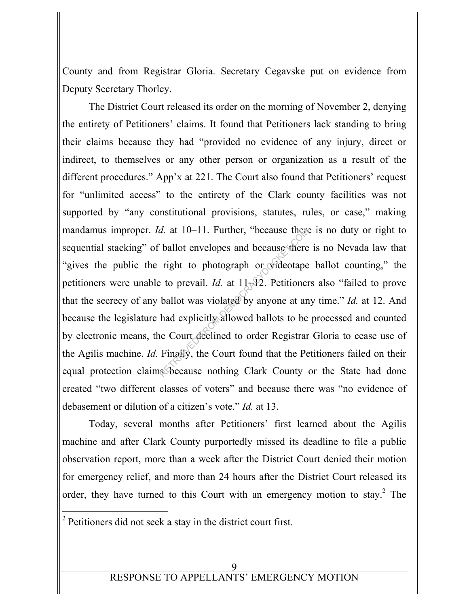County and from Registrar Gloria. Secretary Cegavske put on evidence from Deputy Secretary Thorley.

The District Court released its order on the morning of November 2, denying the entirety of Petitioners' claims. It found that Petitioners lack standing to bring their claims because they had "provided no evidence of any injury, direct or indirect, to themselves or any other person or organization as a result of the different procedures." App'x at 221. The Court also found that Petitioners' request for "unlimited access" to the entirety of the Clark county facilities was not supported by "any constitutional provisions, statutes, rules, or case," making mandamus improper. *Id.* at 10–11. Further, "because there is no duty or right to sequential stacking" of ballot envelopes and because there is no Nevada law that "gives the public the right to photograph or videotape ballot counting," the petitioners were unable to prevail. *Id.* at 11–12. Petitioners also "failed to prove that the secrecy of any ballot was violated by anyone at any time." *Id.* at 12. And because the legislature had explicitly allowed ballots to be processed and counted by electronic means, the Court declined to order Registrar Gloria to cease use of the Agilis machine. *Id.* Finally, the Court found that the Petitioners failed on their equal protection claims because nothing Clark County or the State had done created "two different classes of voters" and because there was "no evidence of debasement or dilution of a citizen's vote." *Id.* at 13. d. at 10–11. Further, "because there<br>
ballot envelopes and because there<br>
e right to photograph or videotape<br>
be to prevail. Id. at  $11\sqrt{2}$ . Petitioner<br>
ballot was violated by anyone at an<br>
had explicitly allowed ballot

Today, several months after Petitioners' first learned about the Agilis machine and after Clark County purportedly missed its deadline to file a public observation report, more than a week after the District Court denied their motion for emergency relief, and more than 24 hours after the District Court released its order, they have turned to this Court with an emergency motion to stay. $^2$  The

 $2$  Petitioners did not seek a stay in the district court first.

-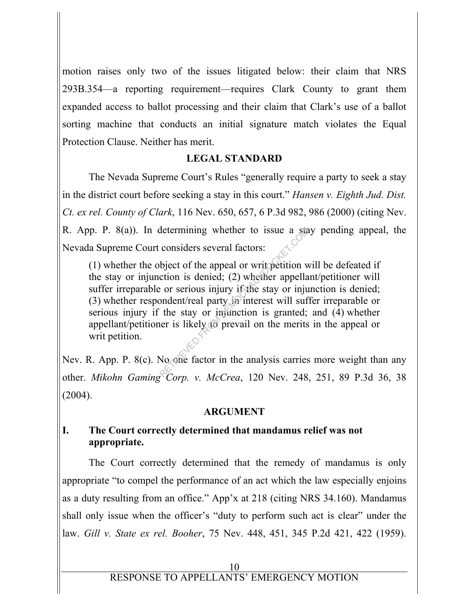motion raises only two of the issues litigated below: their claim that NRS 293B.354—a reporting requirement—requires Clark County to grant them expanded access to ballot processing and their claim that Clark's use of a ballot sorting machine that conducts an initial signature match violates the Equal Protection Clause. Neither has merit.

# **LEGAL STANDARD**

 The Nevada Supreme Court's Rules "generally require a party to seek a stay in the district court before seeking a stay in this court." *Hansen v. Eighth Jud. Dist. Ct. ex rel. County of Clark*, 116 Nev. 650, 657, 6 P.3d 982, 986 (2000) (citing Nev. R. App. P. 8(a)). In determining whether to issue a stay pending appeal, the Nevada Supreme Court considers several factors:

(1) whether the object of the appeal or writ petition will be defeated if the stay or injunction is denied; (2) whether appellant/petitioner will suffer irreparable or serious injury if the stay or injunction is denied; (3) whether respondent/real party in interest will suffer irreparable or serious injury if the stay or injunction is granted; and (4) whether appellant/petitioner is likely to prevail on the merits in the appeal or writ petition. determining whether to issue a state<br>considers several factors:<br>bject of the appeal or written with<br>contraction is denied; (2) whether appellar<br>or serious injury if the stay or injuridant/real party in interest will suff<br>t

Nev. R. App. P. 8(c). No one factor in the analysis carries more weight than any other. *Mikohn Gaming Corp. v. McCrea*, 120 Nev. 248, 251, 89 P.3d 36, 38  $(2004)$ .

## **ARGUMENT**

# **I. The Court correctly determined that mandamus relief was not appropriate.**

 The Court correctly determined that the remedy of mandamus is only appropriate "to compel the performance of an act which the law especially enjoins as a duty resulting from an office." App'x at 218 (citing NRS 34.160). Mandamus shall only issue when the officer's "duty to perform such act is clear" under the law. *Gill v. State ex rel. Booher*, 75 Nev. 448, 451, 345 P.2d 421, 422 (1959).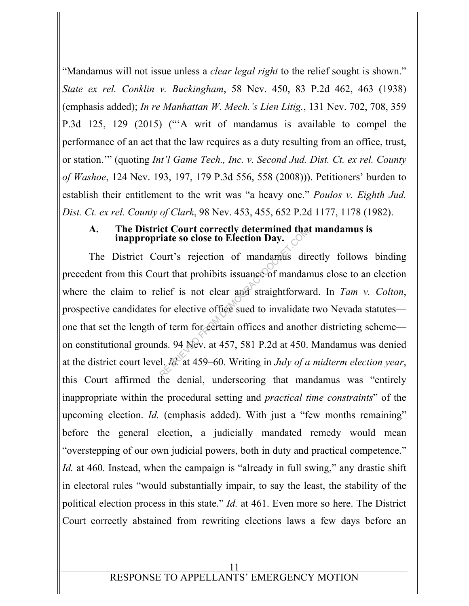"Mandamus will not issue unless a *clear legal right* to the relief sought is shown." *State ex rel. Conklin v. Buckingham*, 58 Nev. 450, 83 P.2d 462, 463 (1938) (emphasis added); *In re Manhattan W. Mech.'s Lien Litig.*, 131 Nev. 702, 708, 359 P.3d 125, 129 (2015) ("'A writ of mandamus is available to compel the performance of an act that the law requires as a duty resulting from an office, trust, or station.'" (quoting *Int'l Game Tech., Inc. v. Second Jud. Dist. Ct. ex rel. County of Washoe*, 124 Nev. 193, 197, 179 P.3d 556, 558 (2008))). Petitioners' burden to establish their entitlement to the writ was "a heavy one." *Poulos v. Eighth Jud. Dist. Ct. ex rel. County of Clark*, 98 Nev. 453, 455, 652 P.2d 1177, 1178 (1982).

# **A. The District Court correctly determined that mandamus is**

**inappropriate so close to Election Day.**<br>
District Court's rejection of mandamas direction this Court that prohibits issuance of mandamas direction this Court that prohibits issuance of mandata laim to relief is not clear The District Court's rejection of mandamus directly follows binding precedent from this Court that prohibits issuance of mandamus close to an election where the claim to relief is not clear and straightforward. In *Tam v. Colton*, prospective candidates for elective office sued to invalidate two Nevada statutes one that set the length of term for certain offices and another districting scheme on constitutional grounds. 94 Nev. at 457, 581 P.2d at 450. Mandamus was denied at the district court level. *Id.* at 459–60. Writing in *July of a midterm election year*, this Court affirmed the denial, underscoring that mandamus was "entirely inappropriate within the procedural setting and *practical time constraints*" of the upcoming election. *Id.* (emphasis added). With just a "few months remaining" before the general election, a judicially mandated remedy would mean "overstepping of our own judicial powers, both in duty and practical competence." *Id.* at 460. Instead, when the campaign is "already in full swing," any drastic shift in electoral rules "would substantially impair, to say the least, the stability of the political election process in this state." *Id.* at 461. Even more so here. The District Court correctly abstained from rewriting elections laws a few days before an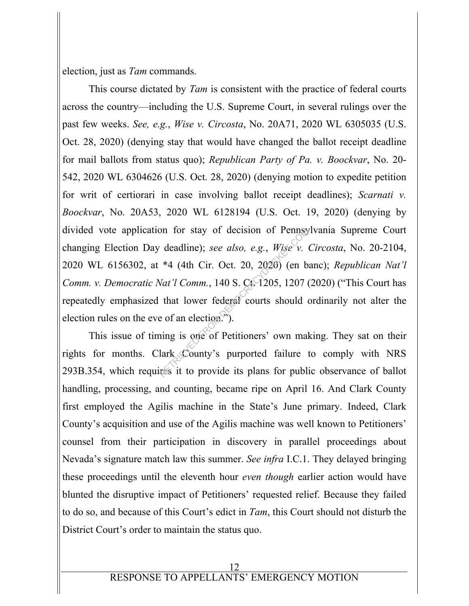election, just as *Tam* commands.

 This course dictated by *Tam* is consistent with the practice of federal courts across the country—including the U.S. Supreme Court, in several rulings over the past few weeks. *See, e.g.*, *Wise v. Circosta*, No. 20A71, 2020 WL 6305035 (U.S. Oct. 28, 2020) (denying stay that would have changed the ballot receipt deadline for mail ballots from status quo); *Republican Party of Pa. v. Boockvar*, No. 20- 542, 2020 WL 6304626 (U.S. Oct. 28, 2020) (denying motion to expedite petition for writ of certiorari in case involving ballot receipt deadlines); *Scarnati v. Boockvar*, No. 20A53, 2020 WL 6128194 (U.S. Oct. 19, 2020) (denying by divided vote application for stay of decision of Pennsylvania Supreme Court changing Election Day deadline); *see also, e.g.*, *Wise v. Circosta*, No. 20-2104, 2020 WL 6156302, at \*4 (4th Cir. Oct. 20, 2020) (en banc); *Republican Nat'l Comm. v. Democratic Nat'l Comm.*, 140 S. Ct. 1205, 1207 (2020) ("This Court has repeatedly emphasized that lower federal courts should ordinarily not alter the election rules on the eve of an election.<sup>35</sup>). on for stay of decision of Pennsy<br>
deadline); see also, e.g., Wise v.<br>
\*4 (4th Cir. Oct. 20, 2020) (en b<br>
Vat'l Comm., 140 S. Ct. 1205, 1207 (<br>
that lower federal courts should on<br>
that lower federal courts should on<br>
the

 This issue of timing is one of Petitioners' own making. They sat on their rights for months. Clark County's purported failure to comply with NRS 293B.354, which requires it to provide its plans for public observance of ballot handling, processing, and counting, became ripe on April 16. And Clark County first employed the Agilis machine in the State's June primary. Indeed, Clark County's acquisition and use of the Agilis machine was well known to Petitioners' counsel from their participation in discovery in parallel proceedings about Nevada's signature match law this summer. *See infra* I.C.1. They delayed bringing these proceedings until the eleventh hour *even though* earlier action would have blunted the disruptive impact of Petitioners' requested relief. Because they failed to do so, and because of this Court's edict in *Tam*, this Court should not disturb the District Court's order to maintain the status quo.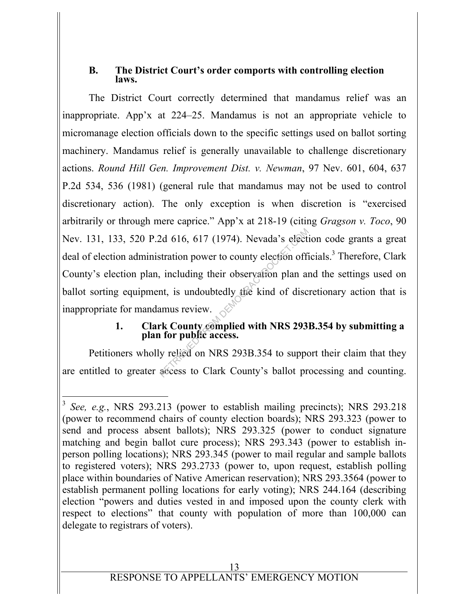# **B. The District Court's order comports with controlling election laws.**

 The District Court correctly determined that mandamus relief was an inappropriate. App'x at 224–25. Mandamus is not an appropriate vehicle to micromanage election officials down to the specific settings used on ballot sorting machinery. Mandamus relief is generally unavailable to challenge discretionary actions. *Round Hill Gen. Improvement Dist. v. Newman*, 97 Nev. 601, 604, 637 P.2d 534, 536 (1981) (general rule that mandamus may not be used to control discretionary action). The only exception is when discretion is "exercised arbitrarily or through mere caprice." App'x at 218-19 (citing *Gragson v. Toco*, 90 Nev. 131, 133, 520 P.2d 616, 617 (1974). Nevada's election code grants a great deal of election administration power to county election officials.<sup>3</sup> Therefore, Clark County's election plan, including their observation plan and the settings used on ballot sorting equipment, is undoubtedly the kind of discretionary action that is inappropriate for mandamus review. 2d 616, 617 (1974). Nevada's elective<br>stration power to county election official<br>int, is undoubtedly the kind of disc<br>amus review.<br>rk County complied with NRS 293.<br>i for public access.<br>y relied on NRS 293B.354 to supper

# **1. Clark County complied with NRS 293B.354 by submitting a plan for public access.**

 Petitioners wholly relied on NRS 293B.354 to support their claim that they are entitled to greater access to Clark County's ballot processing and counting.

-

<sup>&</sup>lt;sup>3</sup> *See, e.g.*, NRS 293.213 (power to establish mailing precincts); NRS 293.218 (power to recommend chairs of county election boards); NRS 293.323 (power to send and process absent ballots); NRS 293.325 (power to conduct signature matching and begin ballot cure process); NRS 293.343 (power to establish inperson polling locations); NRS 293.345 (power to mail regular and sample ballots to registered voters); NRS 293.2733 (power to, upon request, establish polling place within boundaries of Native American reservation); NRS 293.3564 (power to establish permanent polling locations for early voting); NRS 244.164 (describing election "powers and duties vested in and imposed upon the county clerk with respect to elections" that county with population of more than 100,000 can delegate to registrars of voters).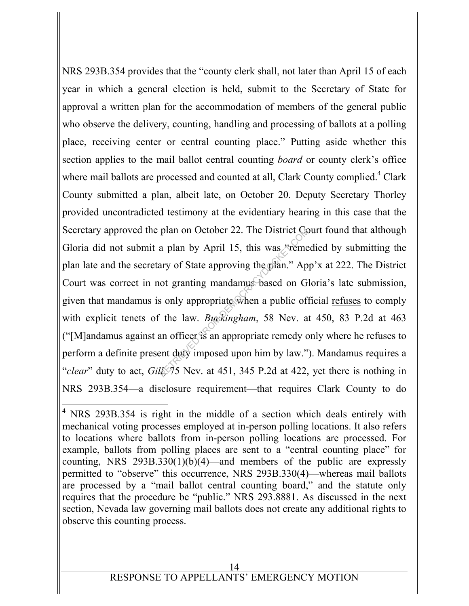NRS 293B.354 provides that the "county clerk shall, not later than April 15 of each year in which a general election is held, submit to the Secretary of State for approval a written plan for the accommodation of members of the general public who observe the delivery, counting, handling and processing of ballots at a polling place, receiving center or central counting place." Putting aside whether this section applies to the mail ballot central counting *board* or county clerk's office where mail ballots are processed and counted at all, Clark County complied.<sup>4</sup> Clark County submitted a plan, albeit late, on October 20. Deputy Secretary Thorley provided uncontradicted testimony at the evidentiary hearing in this case that the Secretary approved the plan on October 22. The District Court found that although Gloria did not submit a plan by April 15, this was "remedied by submitting the plan late and the secretary of State approving the plan." App'x at 222. The District Court was correct in not granting mandamus based on Gloria's late submission, given that mandamus is only appropriate when a public official refuses to comply with explicit tenets of the law. *Buckingham*, 58 Nev. at 450, 83 P.2d at 463 ("[M]andamus against an officer is an appropriate remedy only where he refuses to perform a definite present duty imposed upon him by law."). Mandamus requires a "*clear*" duty to act, *Gill*, 75 Nev. at 451, 345 P.2d at 422, yet there is nothing in NRS 293B.354—a disclosure requirement—that requires Clark County to do plan on October 22. The District Cc<br>a plan by April 15, this was "reme<br>ary of State approving the plan." Ap<br>ot granting mandamus based on G<br>is only appropriate when a public of<br>it is an appropriate remedy c<br>an officer is a

-

<sup>&</sup>lt;sup>4</sup> NRS 293B.354 is right in the middle of a section which deals entirely with mechanical voting processes employed at in-person polling locations. It also refers to locations where ballots from in-person polling locations are processed. For example, ballots from polling places are sent to a "central counting place" for counting, NRS  $293B.330(1)(b)(4)$ —and members of the public are expressly permitted to "observe" this occurrence, NRS 293B.330(4)—whereas mail ballots are processed by a "mail ballot central counting board," and the statute only requires that the procedure be "public." NRS 293.8881. As discussed in the next section, Nevada law governing mail ballots does not create any additional rights to observe this counting process.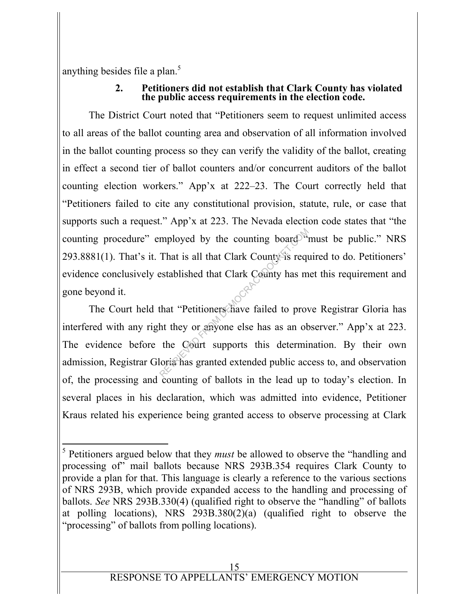anything besides file a plan. $5$ 

#### **2. Petitioners did not establish that Clark County has violated the public access requirements in the election code.**

 The District Court noted that "Petitioners seem to request unlimited access to all areas of the ballot counting area and observation of all information involved in the ballot counting process so they can verify the validity of the ballot, creating in effect a second tier of ballot counters and/or concurrent auditors of the ballot counting election workers." App'x at 222–23. The Court correctly held that "Petitioners failed to cite any constitutional provision, statute, rule, or case that supports such a request." App'x at 223. The Nevada election code states that "the counting procedure" employed by the counting board  $\alpha$  must be public." NRS  $293.8881(1)$ . That's it. That is all that Clark County is required to do. Petitioners' evidence conclusively established that Clark County has met this requirement and gone beyond it.

 The Court held that "Petitioners have failed to prove Registrar Gloria has interfered with any right they or anyone else has as an observer." App'x at 223. The evidence before the Court supports this determination. By their own admission, Registrar Gloria has granted extended public access to, and observation of, the processing and counting of ballots in the lead up to today's election. In several places in his declaration, which was admitted into evidence, Petitioner Kraus related his experience being granted access to observe processing at Clark mployed by the counting board<sup>ock</sup><br>That is all that Clark County is requestablished that Clark County has m<br>established that Clark County has m<br>that "Petitioners have failed to prove<br>that "Petitioners have failed to prove<br>

<sup>-</sup>5 Petitioners argued below that they *must* be allowed to observe the "handling and processing of" mail ballots because NRS 293B.354 requires Clark County to provide a plan for that. This language is clearly a reference to the various sections of NRS 293B, which provide expanded access to the handling and processing of ballots. *See* NRS 293B.330(4) (qualified right to observe the "handling" of ballots at polling locations), NRS 293B.380(2)(a) (qualified right to observe the "processing" of ballots from polling locations).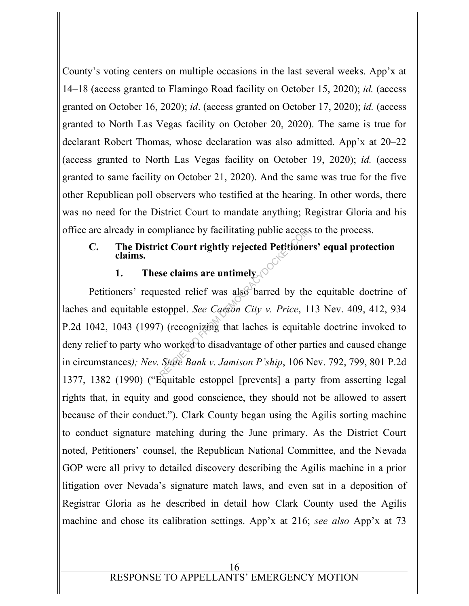County's voting centers on multiple occasions in the last several weeks. App'x at 14–18 (access granted to Flamingo Road facility on October 15, 2020); *id.* (access granted on October 16, 2020); *id*. (access granted on October 17, 2020); *id.* (access granted to North Las Vegas facility on October 20, 2020). The same is true for declarant Robert Thomas, whose declaration was also admitted. App'x at 20–22 (access granted to North Las Vegas facility on October 19, 2020); *id.* (access granted to same facility on October 21, 2020). And the same was true for the five other Republican poll observers who testified at the hearing. In other words, there was no need for the District Court to mandate anything; Registrar Gloria and his office are already in compliance by facilitating public access to the process.

# **C. The District Court rightly rejected Petitioners' equal protection claims.**

# **1. These claims are untimely.**

Petitioners' requested relief was also barred by the equitable doctrine of laches and equitable estoppel. *See Carson City v. Price*, 113 Nev. 409, 412, 934 P.2d 1042, 1043 (1997) (recognizing that laches is equitable doctrine invoked to deny relief to party who worked to disadvantage of other parties and caused change in circumstances*); Nev. State Bank v. Jamison P'ship*, 106 Nev. 792, 799, 801 P.2d 1377, 1382 (1990) ("Equitable estoppel [prevents] a party from asserting legal rights that, in equity and good conscience, they should not be allowed to assert because of their conduct."). Clark County began using the Agilis sorting machine to conduct signature matching during the June primary. As the District Court noted, Petitioners' counsel, the Republican National Committee, and the Nevada GOP were all privy to detailed discovery describing the Agilis machine in a prior litigation over Nevada's signature match laws, and even sat in a deposition of Registrar Gloria as he described in detail how Clark County used the Agilis machine and chose its calibration settings. App'x at 216; *see also* App'x at 73 mpliance by facilitating public access<br>
ict Court rightly rejected Petitione<br>
se claims are untimely.<br>
ested relief was also barred by the<br>
stoppel. See Carson City v. Price, 1<br>
(recognizing that laches is equital<br>
by wor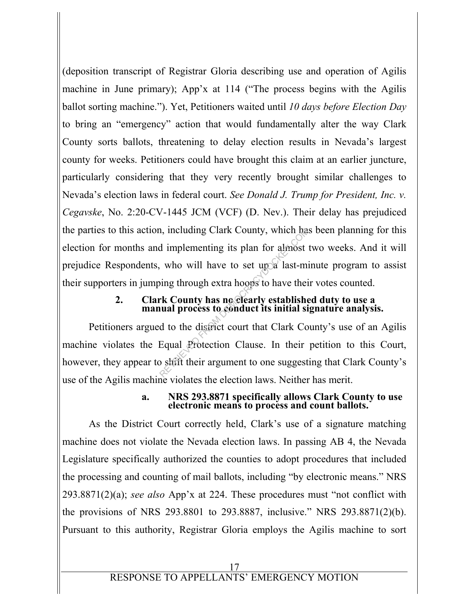(deposition transcript of Registrar Gloria describing use and operation of Agilis machine in June primary); App'x at 114 ("The process begins with the Agilis ballot sorting machine."). Yet, Petitioners waited until *10 days before Election Day* to bring an "emergency" action that would fundamentally alter the way Clark County sorts ballots, threatening to delay election results in Nevada's largest county for weeks. Petitioners could have brought this claim at an earlier juncture, particularly considering that they very recently brought similar challenges to Nevada's election laws in federal court. *See Donald J. Trump for President, Inc. v. Cegavske*, No. 2:20-CV-1445 JCM (VCF) (D. Nev.). Their delay has prejudiced the parties to this action, including Clark County, which has been planning for this election for months and implementing its plan for almost two weeks. And it will prejudice Respondents, who will have to set up a last-minute program to assist their supporters in jumping through extra hoops to have their votes counted. n, including Clark County, which had implementing its plan for almost<br>who will have to set up a last-mining through extra hoops to have their<br>rk County has no clearly established<br>wall process to conduct its initial si<br>d to

#### **2. Clark County has no clearly established duty to use a manual process to conduct its initial signature analysis.**

 Petitioners argued to the district court that Clark County's use of an Agilis machine violates the Equal Protection Clause. In their petition to this Court, however, they appear to shift their argument to one suggesting that Clark County's use of the Agilis machine violates the election laws. Neither has merit.

#### **a. NRS 293.8871 specifically allows Clark County to use electronic means to process and count ballots.**

 As the District Court correctly held, Clark's use of a signature matching machine does not violate the Nevada election laws. In passing AB 4, the Nevada Legislature specifically authorized the counties to adopt procedures that included the processing and counting of mail ballots, including "by electronic means." NRS 293.8871(2)(a); *see also* App'x at 224. These procedures must "not conflict with the provisions of NRS 293.8801 to 293.8887, inclusive." NRS 293.8871(2)(b). Pursuant to this authority, Registrar Gloria employs the Agilis machine to sort

# RESPONSE TO APPELLANTS' EMERGENCY MOTION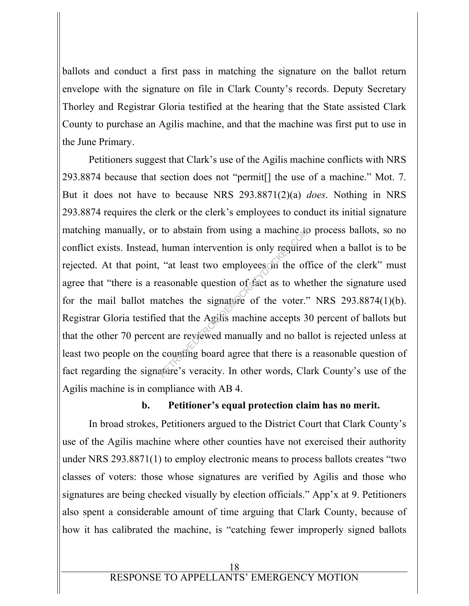ballots and conduct a first pass in matching the signature on the ballot return envelope with the signature on file in Clark County's records. Deputy Secretary Thorley and Registrar Gloria testified at the hearing that the State assisted Clark County to purchase an Agilis machine, and that the machine was first put to use in the June Primary.

 Petitioners suggest that Clark's use of the Agilis machine conflicts with NRS 293.8874 because that section does not "permit[] the use of a machine." Mot. 7. But it does not have to because NRS 293.8871(2)(a) *does*. Nothing in NRS 293.8874 requires the clerk or the clerk's employees to conduct its initial signature matching manually, or to abstain from using a machine to process ballots, so no conflict exists. Instead, human intervention is only required when a ballot is to be rejected. At that point, "at least two employees in the office of the clerk" must agree that "there is a reasonable question of fact as to whether the signature used for the mail ballot matches the signature of the voter." NRS 293.8874(1)(b). Registrar Gloria testified that the Agilis machine accepts 30 percent of ballots but that the other 70 percent are reviewed manually and no ballot is rejected unless at least two people on the counting board agree that there is a reasonable question of fact regarding the signature's veracity. In other words, Clark County's use of the Agilis machine is in compliance with AB 4. to abstain from using a machine to<br>human intervention is only required<br>"at least two employees on the of<br>easonable question of fact as to whe<br>atches the signature of the voter."<br>"ed that the Agilis machine accepts 3<br>nt are

#### **b. Petitioner's equal protection claim has no merit.**

 In broad strokes, Petitioners argued to the District Court that Clark County's use of the Agilis machine where other counties have not exercised their authority under NRS 293.8871(1) to employ electronic means to process ballots creates "two classes of voters: those whose signatures are verified by Agilis and those who signatures are being checked visually by election officials." App'x at 9. Petitioners also spent a considerable amount of time arguing that Clark County, because of how it has calibrated the machine, is "catching fewer improperly signed ballots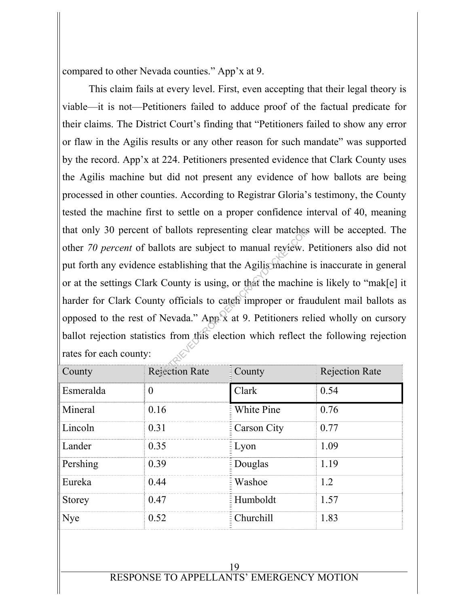compared to other Nevada counties." App'x at 9.

 This claim fails at every level. First, even accepting that their legal theory is viable—it is not—Petitioners failed to adduce proof of the factual predicate for their claims. The District Court's finding that "Petitioners failed to show any error or flaw in the Agilis results or any other reason for such mandate" was supported by the record. App'x at 224. Petitioners presented evidence that Clark County uses the Agilis machine but did not present any evidence of how ballots are being processed in other counties. According to Registrar Gloria's testimony, the County tested the machine first to settle on a proper confidence interval of 40, meaning that only 30 percent of ballots representing clear matches will be accepted. The other *70 percent* of ballots are subject to manual review. Petitioners also did not put forth any evidence establishing that the Agilis machine is inaccurate in general or at the settings Clark County is using, or that the machine is likely to "mak[e] it harder for Clark County officials to cateb improper or fraudulent mail ballots as opposed to the rest of Nevada." App'x at 9. Petitioners relied wholly on cursory ballot rejection statistics from this election which reflect the following rejection rates for each county: reflucts representing clear matches<br>
llots are subject to manual review.<br>
establishing that the Agilis machine<br>
County is using, or that the machine<br>
y officials to cateal improper or fra<br>
Nevada." App x at 9. Petitioners

| County        | <b>Rejection Rate</b> | $\frac{1}{2}$ County | <b>Rejection Rate</b> |
|---------------|-----------------------|----------------------|-----------------------|
| Esmeralda     | $\theta$              | Clark                | 0.54                  |
| Mineral       | 0.16                  | White Pine           | 0.76                  |
| Lincoln       | 0.31                  | E Carson City        | 0.77                  |
| Lander        | 0.35                  | $\frac{1}{2}$ Lyon   | 1.09                  |
| Pershing      | 0.39                  | <b>Douglas</b>       | 1.19                  |
| Eureka        | 0.44                  | Washoe               | 1.2                   |
| <b>Storey</b> | 0.47                  | EHumboldt            | 1.57                  |
| Nye           | 0.52                  | E Churchill          | 1.83                  |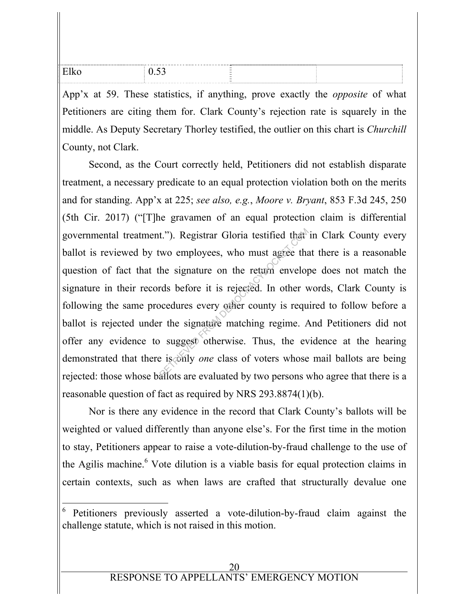| $ -$<br>◡.◡_ | $\sim$<br>$\sim$<br>$\sim$ |  |
|--------------|----------------------------|--|
|              |                            |  |

App'x at 59. These statistics, if anything, prove exactly the *opposite* of what Petitioners are citing them for. Clark County's rejection rate is squarely in the middle. As Deputy Secretary Thorley testified, the outlier on this chart is *Churchill*  County, not Clark.

 Second, as the Court correctly held, Petitioners did not establish disparate treatment, a necessary predicate to an equal protection violation both on the merits and for standing. App'x at 225; *see also, e.g.*, *Moore v. Bryant*, 853 F.3d 245, 250 (5th Cir. 2017) ("[T]he gravamen of an equal protection claim is differential governmental treatment."). Registrar Gloria testified that in Clark County every ballot is reviewed by two employees, who must agree that there is a reasonable question of fact that the signature on the return envelope does not match the signature in their records before it is rejected. In other words, Clark County is following the same procedures every other county is required to follow before a ballot is rejected under the signature matching regime. And Petitioners did not offer any evidence to suggest otherwise. Thus, the evidence at the hearing demonstrated that there is only *one* class of voters whose mail ballots are being rejected: those whose ballots are evaluated by two persons who agree that there is a reasonable question of fact as required by NRS 293.8874(1)(b). t."). Registrar Gloria testified that<br>wo employees, who must agree that<br>he signature on the return envelop<br>rds before it is rejected. In other v<br>ocedures every other county is requ<br>r the signature matching regime. A<br>sugges

 Nor is there any evidence in the record that Clark County's ballots will be weighted or valued differently than anyone else's. For the first time in the motion to stay, Petitioners appear to raise a vote-dilution-by-fraud challenge to the use of the Agilis machine.<sup>6</sup> Vote dilution is a viable basis for equal protection claims in certain contexts, such as when laws are crafted that structurally devalue one

-

<sup>6</sup> Petitioners previously asserted a vote-dilution-by-fraud claim against the challenge statute, which is not raised in this motion.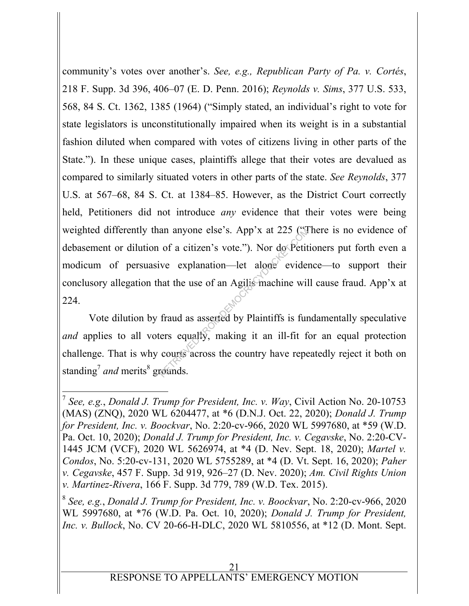community's votes over another's. *See, e.g., Republican Party of Pa. v. Cortés*, 218 F. Supp. 3d 396, 406–07 (E. D. Penn. 2016); *Reynolds v. Sims*, 377 U.S. 533, 568, 84 S. Ct. 1362, 1385 (1964) ("Simply stated, an individual's right to vote for state legislators is unconstitutionally impaired when its weight is in a substantial fashion diluted when compared with votes of citizens living in other parts of the State."). In these unique cases, plaintiffs allege that their votes are devalued as compared to similarly situated voters in other parts of the state. *See Reynolds*, 377 U.S. at 567–68, 84 S. Ct. at 1384–85. However, as the District Court correctly held, Petitioners did not introduce *any* evidence that their votes were being weighted differently than anyone else's. App'x at 225 ("There is no evidence of debasement or dilution of a citizen's vote."). Nor do Petitioners put forth even a modicum of persuasive explanation—let alone evidence—to support their conclusory allegation that the use of an Agilis machine will cause fraud. App'x at 224. an anyone else's. App'x at 225 (3)<br>of a citizen's vote."). Nor do Petit<br>ve explanation—let alone eviden<br>nat the use of an Agilis machine wil<br>fraud as asserted by Plaintiffs is fur<br>ers equally, making it an ill-fit fi<br>court

 Vote dilution by fraud as asserted by Plaintiffs is fundamentally speculative *and* applies to all voters equally, making it an ill-fit for an equal protection challenge. That is why courts across the country have repeatedly reject it both on standing<sup>7</sup> and merits<sup>8</sup> grounds.

-

<sup>8</sup> *See, e.g.*, *Donald J. Trump for President, Inc. v. Boockvar*, No. 2:20-cv-966, 2020 WL 5997680, at \*76 (W.D. Pa. Oct. 10, 2020); *Donald J. Trump for President, Inc. v. Bullock*, No. CV 20-66-H-DLC, 2020 WL 5810556, at \*12 (D. Mont. Sept.

<sup>7</sup> *See, e.g.*, *Donald J. Trump for President, Inc. v. Way*, Civil Action No. 20-10753 (MAS) (ZNQ), 2020 WL 6204477, at \*6 (D.N.J. Oct. 22, 2020); *Donald J. Trump for President, Inc. v. Boockvar*, No. 2:20-cv-966, 2020 WL 5997680, at \*59 (W.D. Pa. Oct. 10, 2020); *Donald J. Trump for President, Inc. v. Cegavske*, No. 2:20-CV-1445 JCM (VCF), 2020 WL 5626974, at \*4 (D. Nev. Sept. 18, 2020); *Martel v. Condos*, No. 5:20-cv-131, 2020 WL 5755289, at \*4 (D. Vt. Sept. 16, 2020); *Paher v. Cegavske*, 457 F. Supp. 3d 919, 926–27 (D. Nev. 2020); *Am. Civil Rights Union v. Martinez-Rivera*, 166 F. Supp. 3d 779, 789 (W.D. Tex. 2015).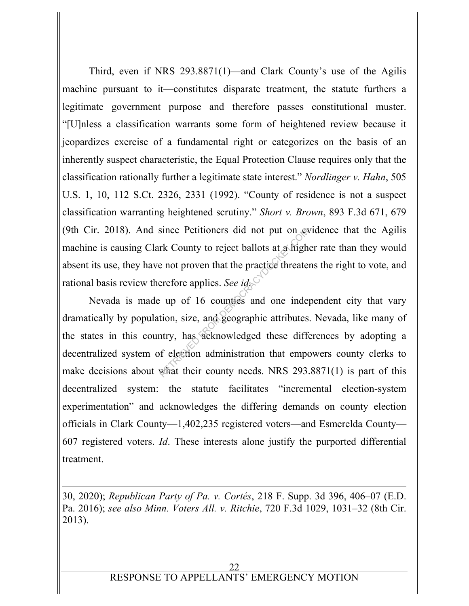Third, even if NRS 293.8871(1)—and Clark County's use of the Agilis machine pursuant to it—constitutes disparate treatment, the statute furthers a legitimate government purpose and therefore passes constitutional muster. "[U]nless a classification warrants some form of heightened review because it jeopardizes exercise of a fundamental right or categorizes on the basis of an inherently suspect characteristic, the Equal Protection Clause requires only that the classification rationally further a legitimate state interest." *Nordlinger v. Hahn*, 505 U.S. 1, 10, 112 S.Ct. 2326, 2331 (1992). "County of residence is not a suspect classification warranting heightened scrutiny." *Short v. Brown*, 893 F.3d 671, 679 (9th Cir. 2018). And since Petitioners did not put on evidence that the Agilis machine is causing Clark County to reject ballots at a higher rate than they would absent its use, they have not proven that the practice threatens the right to vote, and rational basis review therefore applies. *See id.*

 Nevada is made up of 16 counties and one independent city that vary dramatically by population, size, and geographic attributes. Nevada, like many of the states in this country, has acknowledged these differences by adopting a decentralized system of election administration that empowers county clerks to make decisions about what their county needs. NRS 293.8871(1) is part of this decentralized system: the statute facilitates "incremental election-system experimentation" and acknowledges the differing demands on county election officials in Clark County—1,402,235 registered voters—and Esmerelda County— 607 registered voters. *Id*. These interests alone justify the purported differential treatment. since Petitioners did not put on ex-<br>rk County to reject ballots at a high<br>e not proven that the practice threate<br>erefore applies. See  $id_{\mathbb{R}}$ <br>i up of 16 counties and one inde<br>tion, size, and geographic attributes<br>ntry

30, 2020); *Republican Party of Pa. v. Cortés*, 218 F. Supp. 3d 396, 406–07 (E.D. Pa. 2016); *see also Minn. Voters All. v. Ritchie*, 720 F.3d 1029, 1031–32 (8th Cir. 2013).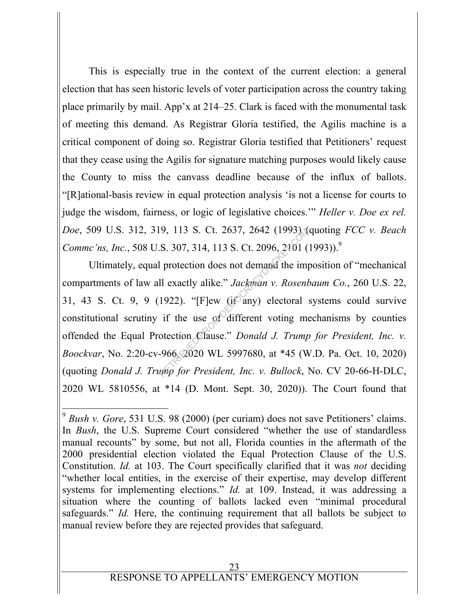This is especially true in the context of the current election: a general election that has seen historic levels of voter participation across the country taking place primarily by mail. App'x at 214–25. Clark is faced with the monumental task of meeting this demand. As Registrar Gloria testified, the Agilis machine is a critical component of doing so. Registrar Gloria testified that Petitioners' request that they cease using the Agilis for signature matching purposes would likely cause the County to miss the canvass deadline because of the influx of ballots. "[R]ational-basis review in equal protection analysis 'is not a license for courts to judge the wisdom, fairness, or logic of legislative choices.'" *Heller v. Doe ex rel. Doe*, 509 U.S. 312, 319, 113 S. Ct. 2637, 2642 (1993) (quoting *FCC v. Beach Commc'ns, Inc., 508 U.S. 307, 314, 113 S. Ct. 2096, 2101 (1993)).*<sup>9</sup>

 Ultimately, equal protection does not demand the imposition of "mechanical compartments of law all exactly alike." *Jackman v. Rosenbaum Co.*, 260 U.S. 22, 31, 43 S. Ct. 9, 9 (1922). "[F]ew (if any) electoral systems could survive constitutional scrutiny if the use of different voting mechanisms by counties offended the Equal Protection Clause." *Donald J. Trump for President, Inc. v. Boockvar*, No. 2:20-cv-966, 2020 WL 5997680, at \*45 (W.D. Pa. Oct. 10, 2020) (quoting *Donald J. Trump for President, Inc. v. Bullock*, No. CV 20-66-H-DLC, 2020 WL 5810556, at \*14 (D. Mont. Sept. 30, 2020)). The Court found that 9, 113 S. Ct. 2637, 2642 (1993) (<br>S. 307, 314, 113 S. Ct. 2096, 2101 (<br>protection does not demand the implement and the implement of the matrix of the matrix  $Jackman$  v. Rosent<br>1922). "[F]ew (it any) electoral<br>if the use of

-

<sup>9</sup> *Bush v. Gore*, 531 U.S. 98 (2000) (per curiam) does not save Petitioners' claims. In *Bush*, the U.S. Supreme Court considered "whether the use of standardless manual recounts" by some, but not all, Florida counties in the aftermath of the 2000 presidential election violated the Equal Protection Clause of the U.S. Constitution. *Id.* at 103. The Court specifically clarified that it was *not* deciding "whether local entities, in the exercise of their expertise, may develop different systems for implementing elections." *Id.* at 109. Instead, it was addressing a situation where the counting of ballots lacked even "minimal procedural safeguards." *Id.* Here, the continuing requirement that all ballots be subject to manual review before they are rejected provides that safeguard.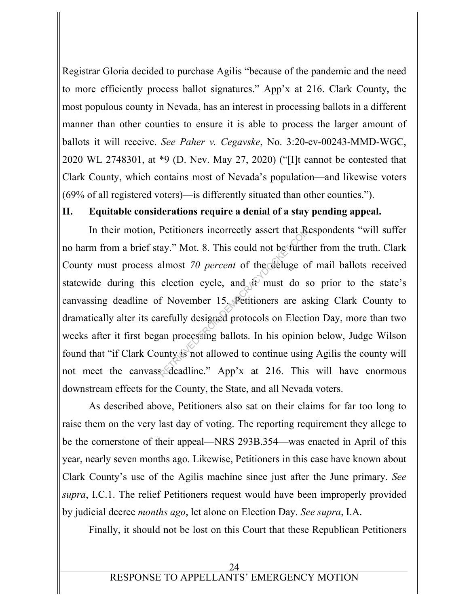Registrar Gloria decided to purchase Agilis "because of the pandemic and the need to more efficiently process ballot signatures." App'x at 216. Clark County, the most populous county in Nevada, has an interest in processing ballots in a different manner than other counties to ensure it is able to process the larger amount of ballots it will receive. *See Paher v. Cegavske*, No. 3:20-cv-00243-MMD-WGC, 2020 WL 2748301, at \*9 (D. Nev. May 27, 2020) ("[I]t cannot be contested that Clark County, which contains most of Nevada's population—and likewise voters (69% of all registered voters)—is differently situated than other counties.").

# **II. Equitable considerations require a denial of a stay pending appeal.**

 In their motion, Petitioners incorrectly assert that Respondents "will suffer no harm from a brief stay." Mot. 8. This could not be further from the truth. Clark County must process almost *70 percent* of the deluge of mail ballots received statewide during this election cycle, and  $\mathbf{d}$  must do so prior to the state's canvassing deadline of November 15. Petitioners are asking Clark County to dramatically alter its carefully designed protocols on Election Day, more than two weeks after it first began processing ballots. In his opinion below, Judge Wilson found that "if Clark County is not allowed to continue using Agilis the county will not meet the canvasse deadline." App'x at 216. This will have enormous downstream effects for the County, the State, and all Nevada voters. Petitioners incorrectly assert that  $R$ <br>ay." Mot. 8. This could not be furth<br>almost 70 percent of the deluge of<br>election cycle, and  $R$  must do s<br>f November 15. Petitioners are as<br>are fully designed protocols on Election<br>

 As described above, Petitioners also sat on their claims for far too long to raise them on the very last day of voting. The reporting requirement they allege to be the cornerstone of their appeal—NRS 293B.354—was enacted in April of this year, nearly seven months ago. Likewise, Petitioners in this case have known about Clark County's use of the Agilis machine since just after the June primary. *See supra*, I.C.1. The relief Petitioners request would have been improperly provided by judicial decree *months ago*, let alone on Election Day. *See supra*, I.A.

Finally, it should not be lost on this Court that these Republican Petitioners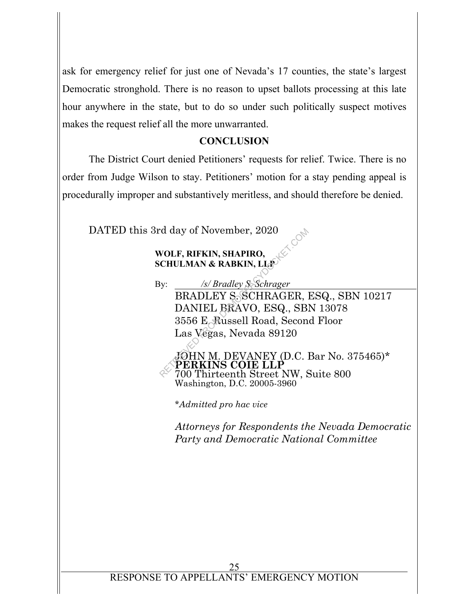ask for emergency relief for just one of Nevada's 17 counties, the state's largest Democratic stronghold. There is no reason to upset ballots processing at this late hour anywhere in the state, but to do so under such politically suspect motives makes the request relief all the more unwarranted.

## **CONCLUSION**

 The District Court denied Petitioners' requests for relief. Twice. There is no order from Judge Wilson to stay. Petitioners' motion for a stay pending appeal is procedurally improper and substantively meritless, and should therefore be denied.

DATED this 3rd day of November, 2020

## **WOLF, RIFKIN, SHAPIRO, SCHULMAN & RABKIN, LLP**

By: */s/ Bradley S. Schrager* 

 BRADLEY S. SCHRAGER, ESQ., SBN 10217 DANIEL BRAVO, ESQ., SBN 13078 3556 E. Russell Road, Second Floor Las Vegas, Nevada 89120 rd day of November, 2020<br>
WOLF, RIFKIN, SHAPIRO,<br>
CHULMAN & RABKIN, LLS<br>
Sy: Schrager<br>
BRADLEY S. SCHRAGER,<br>
DANIEL BRAVO, ESQ., SB.<br>
3556 E. Russell Road, Secon<br>
Las Végas, Nevada 89120<br>
SOHN M. DEVANEY (D.C. )<br>
PERKINS C

JOHN M. DEVANEY (D.C. Bar No. 375465)\* **PERKINS COIE LLP**  700 Thirteenth Street NW, Suite 800 Washington, D.C. 20005-3960

\**Admitted pro hac vice* 

*Attorneys for Respondents the Nevada Democratic Party and Democratic National Committee*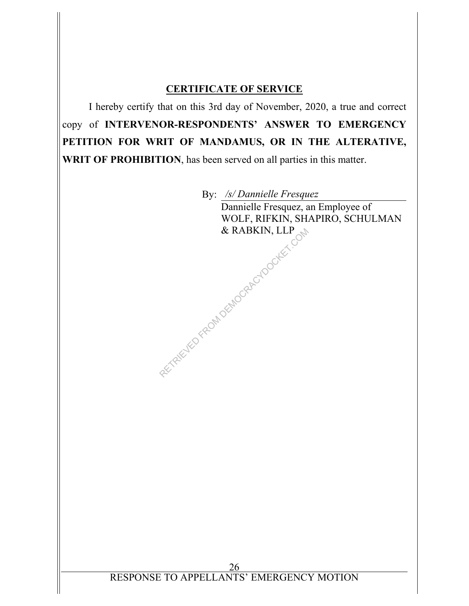## **CERTIFICATE OF SERVICE**

I hereby certify that on this 3rd day of November, 2020, a true and correct copy of **INTERVENOR-RESPONDENTS' ANSWER TO EMERGENCY PETITION FOR WRIT OF MANDAMUS, OR IN THE ALTERATIVE, WRIT OF PROHIBITION**, has been served on all parties in this matter.

By: */s/ Dannielle Fresquez* Dannielle Fresquez, an Employee of WOLF, RIFKIN, SHAPIRO, SCHULMAN & RABKIN, LLP AN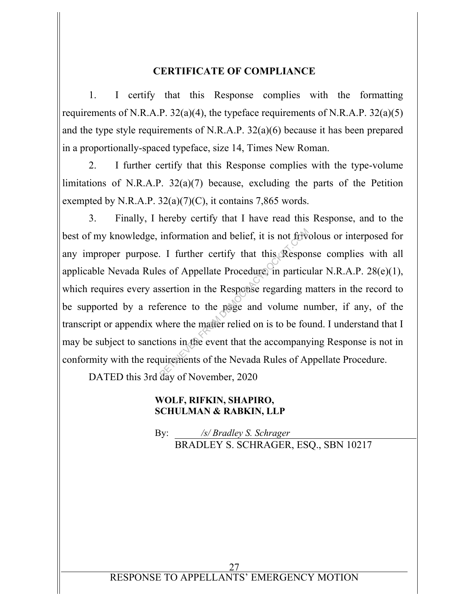#### **CERTIFICATE OF COMPLIANCE**

1. I certify that this Response complies with the formatting requirements of N.R.A.P. 32(a)(4), the typeface requirements of N.R.A.P. 32(a)(5) and the type style requirements of N.R.A.P. 32(a)(6) because it has been prepared in a proportionally-spaced typeface, size 14, Times New Roman.

2. I further certify that this Response complies with the type-volume limitations of N.R.A.P.  $32(a)(7)$  because, excluding the parts of the Petition exempted by N.R.A.P.  $32(a)(7)(C)$ , it contains 7,865 words.

3. Finally, I hereby certify that I have read this Response, and to the best of my knowledge, information and belief, it is not frivolous or interposed for any improper purpose. I further certify that this Response complies with all applicable Nevada Rules of Appellate Procedure, in particular N.R.A.P. 28(e)(1), which requires every assertion in the Response regarding matters in the record to be supported by a reference to the page and volume number, if any, of the transcript or appendix where the matter relied on is to be found. I understand that I may be subject to sanctions in the event that the accompanying Response is not in conformity with the requirements of the Nevada Rules of Appellate Procedure. information and belief, it is not frive.<br>I further certify that this Responses of Appellate Procedure, in particussertion in the Response regarding n<br>erence to the page and volume n<br>where the matter relied on is to be four

DATED this 3rd day of November, 2020

#### **WOLF, RIFKIN, SHAPIRO, SCHULMAN & RABKIN, LLP**

 By: */s/ Bradley S. Schrager*  BRADLEY S. SCHRAGER, ESQ., SBN 10217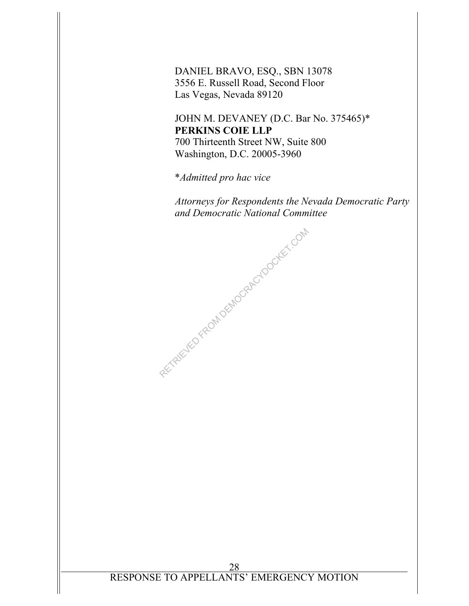DANIEL BRAVO, ESQ., SBN 13078 3556 E. Russell Road, Second Floor Las Vegas, Nevada 89120

JOHN M. DEVANEY (D.C. Bar No. 375465)\* **PERKINS COIE LLP**  700 Thirteenth Street NW, Suite 800 Washington, D.C. 20005-3960

\**Admitted pro hac vice* 

RETRIEVED FROM DEMOCRACYDOCKET.COM

*Attorneys for Respondents the Nevada Democratic Party and Democratic National Committee*

28 RESPONSE TO APPELLANTS' EMERGENCY MOTION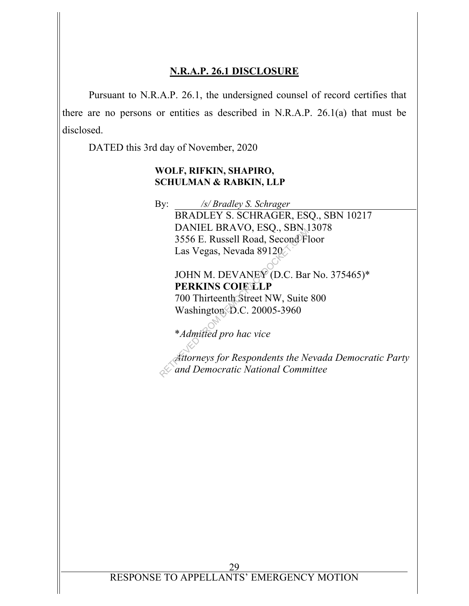## **N.R.A.P. 26.1 DISCLOSURE**

 Pursuant to N.R.A.P. 26.1, the undersigned counsel of record certifies that there are no persons or entities as described in N.R.A.P. 26.1(a) that must be disclosed.

DATED this 3rd day of November, 2020

#### **WOLF, RIFKIN, SHAPIRO, SCHULMAN & RABKIN, LLP**

 By: */s/ Bradley S. Schrager*  BRADLEY S. SCHRAGER, ESQ., SBN 10217 DANIEL BRAVO, ESQ., SBN 13078 3556 E. Russell Road, Second Floor Las Vegas, Nevada 89120 DANLE BRAVO, ESQ., SBN<br>3556 E. Russell Road, Second Fl<br>Las Vegas, Nevada 89120<br>JOHN M. DEVANEY (D.C. Bar<br>**PERKINS COIE LLP**<br>700 Thirteenth Street NW, Suite<br>Washington D.C. 20005-3960<br>\*Admitted pro hac vice<br>Attorneys for Re

# JOHN M. DEVANEY (D.C. Bar No. 375465)\* **PERKINS COIE LLP**

700 Thirteenth Street NW, Suite 800 Washington, D.C. 20005-3960

\**Admitted pro hac vice* 

*Attorneys for Respondents the Nevada Democratic Party and Democratic National Committee*